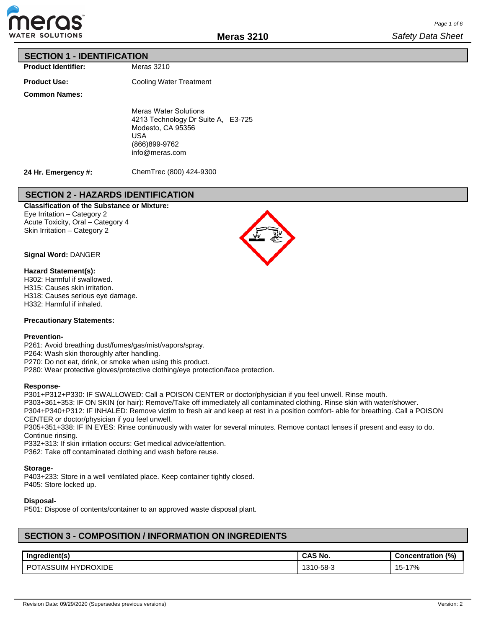

### **SECTION 1 - IDENTIFICATION**

**Product Identifier:**

**Product Use:**

Cooling Water Treatment

Meras 3210

**Common Names:**

Meras Water Solutions 4213 Technology Dr Suite A, E3-725 Modesto, CA 95356 USA (866)899-9762 info@meras.com

**24 Hr. Emergency #:**

ChemTrec (800) 424-9300

## **SECTION 2 - HAZARDS IDENTIFICATION**

**Classification of the Substance or Mixture:** Eye Irritation – Category 2 Acute Toxicity, Oral – Category 4 Skin Irritation – Category 2



### **Hazard Statement(s):**

H302: Harmful if swallowed. H315: Causes skin irritation. H318: Causes serious eye damage. H332: Harmful if inhaled.

### **Precautionary Statements:**

#### **Prevention-**

P261: Avoid breathing dust/fumes/gas/mist/vapors/spray.

P264: Wash skin thoroughly after handling.

P270: Do not eat, drink, or smoke when using this product.

P280: Wear protective gloves/protective clothing/eye protection/face protection.

### **Response-**

P301+P312+P330: IF SWALLOWED: Call a POISON CENTER or doctor/physician if you feel unwell. Rinse mouth. P303+361+353: IF ON SKIN (or hair): Remove/Take off immediately all contaminated clothing. Rinse skin with water/shower.

P304+P340+P312: IF INHALED: Remove victim to fresh air and keep at rest in a position comfort- able for breathing. Call a POISON CENTER or doctor/physician if you feel unwell.

P305+351+338: IF IN EYES: Rinse continuously with water for several minutes. Remove contact lenses if present and easy to do. Continue rinsing.

P332+313: If skin irritation occurs: Get medical advice/attention.

P362: Take off contaminated clothing and wash before reuse.

### **Storage-**

P403+233: Store in a well ventilated place. Keep container tightly closed. P405: Store locked up.

### **Disposal-**

P501: Dispose of contents/container to an approved waste disposal plant.

# **SECTION 3 - COMPOSITION / INFORMATION ON INGREDIENTS**

| Ingredient(s)                                | <b>CAS No.</b>   | (% )<br><b>Concentration</b> |
|----------------------------------------------|------------------|------------------------------|
| ≀OXIDE<br>ີ SUIM .<br>DRC<br>DC<br>HV.<br>n. | -58-3<br>$310 -$ | $-17%$<br>!ა-                |

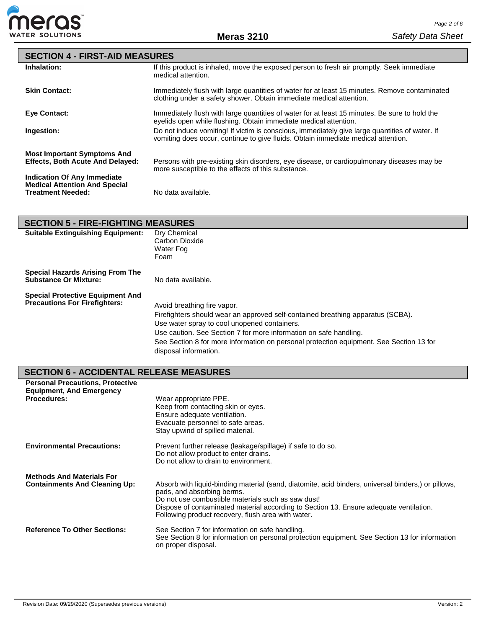

| <b>SECTION 4 - FIRST-AID MEASURES</b>                                      |                                                                                                                                                                                     |
|----------------------------------------------------------------------------|-------------------------------------------------------------------------------------------------------------------------------------------------------------------------------------|
| Inhalation:                                                                | If this product is inhaled, move the exposed person to fresh air promptly. Seek immediate<br>medical attention.                                                                     |
| <b>Skin Contact:</b>                                                       | Immediately flush with large quantities of water for at least 15 minutes. Remove contaminated<br>clothing under a safety shower. Obtain immediate medical attention.                |
| <b>Eve Contact:</b>                                                        | Immediately flush with large quantities of water for at least 15 minutes. Be sure to hold the<br>eyelids open while flushing. Obtain immediate medical attention.                   |
| Ingestion:                                                                 | Do not induce vomiting! If victim is conscious, immediately give large quantities of water. If<br>vomiting does occur, continue to give fluids. Obtain immediate medical attention. |
| <b>Most Important Symptoms And</b>                                         |                                                                                                                                                                                     |
| <b>Effects, Both Acute And Delayed:</b>                                    | Persons with pre-existing skin disorders, eye disease, or cardiopulmonary diseases may be<br>more susceptible to the effects of this substance.                                     |
| <b>Indication Of Any Immediate</b><br><b>Medical Attention And Special</b> |                                                                                                                                                                                     |
| <b>Treatment Needed:</b>                                                   | No data available.                                                                                                                                                                  |

|                                                                                 | <b>SECTION 5 - FIRE-FIGHTING MEASURES</b>                                                                                                                                                                                                                                                                                                               |  |  |  |  |  |  |  |
|---------------------------------------------------------------------------------|---------------------------------------------------------------------------------------------------------------------------------------------------------------------------------------------------------------------------------------------------------------------------------------------------------------------------------------------------------|--|--|--|--|--|--|--|
| <b>Suitable Extinguishing Equipment:</b>                                        | Dry Chemical<br>Carbon Dioxide<br>Water Fog<br>Foam                                                                                                                                                                                                                                                                                                     |  |  |  |  |  |  |  |
| <b>Special Hazards Arising From The</b><br><b>Substance Or Mixture:</b>         | No data available.                                                                                                                                                                                                                                                                                                                                      |  |  |  |  |  |  |  |
| <b>Special Protective Equipment And</b><br><b>Precautions For Firefighters:</b> | Avoid breathing fire vapor.<br>Firefighters should wear an approved self-contained breathing apparatus (SCBA).<br>Use water spray to cool unopened containers.<br>Use caution. See Section 7 for more information on safe handling.<br>See Section 8 for more information on personal protection equipment. See Section 13 for<br>disposal information. |  |  |  |  |  |  |  |

# **SECTION 6 - ACCIDENTAL RELEASE MEASURES**

| <b>Personal Precautions, Protective</b><br><b>Equipment, And Emergency</b> |                                                                                                                                                                                                                                                                                                                                         |
|----------------------------------------------------------------------------|-----------------------------------------------------------------------------------------------------------------------------------------------------------------------------------------------------------------------------------------------------------------------------------------------------------------------------------------|
| <b>Procedures:</b>                                                         | Wear appropriate PPE.<br>Keep from contacting skin or eyes.<br>Ensure adequate ventilation.<br>Evacuate personnel to safe areas.<br>Stay upwind of spilled material.                                                                                                                                                                    |
| <b>Environmental Precautions:</b>                                          | Prevent further release (leakage/spillage) if safe to do so.<br>Do not allow product to enter drains.<br>Do not allow to drain to environment.                                                                                                                                                                                          |
| <b>Methods And Materials For</b><br><b>Containments And Cleaning Up:</b>   | Absorb with liquid-binding material (sand, diatomite, acid binders, universal binders,) or pillows,<br>pads, and absorbing berms.<br>Do not use combustible materials such as saw dust!<br>Dispose of contaminated material according to Section 13. Ensure adequate ventilation.<br>Following product recovery, flush area with water. |
| <b>Reference To Other Sections:</b>                                        | See Section 7 for information on safe handling.<br>See Section 8 for information on personal protection equipment. See Section 13 for information<br>on proper disposal.                                                                                                                                                                |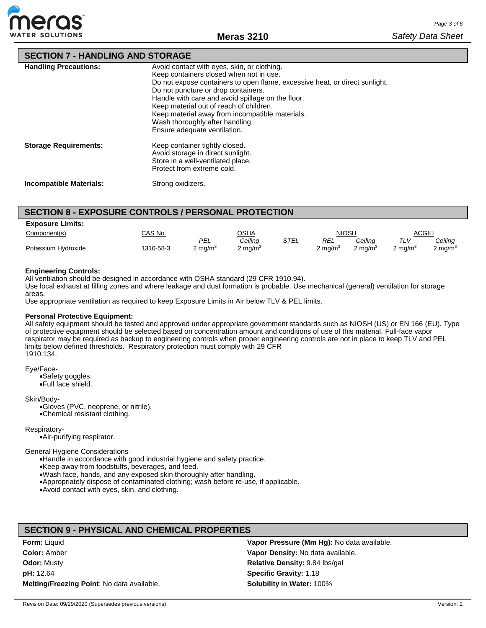

# **SECTION 7 - HANDLING AND STORAGE**

| <b>Handling Precautions:</b>   | Avoid contact with eyes, skin, or clothing.<br>Keep containers closed when not in use.<br>Do not expose containers to open flame, excessive heat, or direct sunlight.<br>Do not puncture or drop containers.<br>Handle with care and avoid spillage on the floor.<br>Keep material out of reach of children.<br>Keep material away from incompatible materials.<br>Wash thoroughly after handling.<br>Ensure adequate ventilation. |
|--------------------------------|------------------------------------------------------------------------------------------------------------------------------------------------------------------------------------------------------------------------------------------------------------------------------------------------------------------------------------------------------------------------------------------------------------------------------------|
| <b>Storage Requirements:</b>   | Keep container tightly closed.<br>Avoid storage in direct sunlight.<br>Store in a well-ventilated place.<br>Protect from extreme cold.                                                                                                                                                                                                                                                                                             |
| <b>Incompatible Materials:</b> | Strong oxidizers.                                                                                                                                                                                                                                                                                                                                                                                                                  |

## **SECTION 8 - EXPOSURE CONTROLS / PERSONAL PROTECTION**

| <b>Exposure Limits:</b> |           |            |             |      |              |                |         |            |
|-------------------------|-----------|------------|-------------|------|--------------|----------------|---------|------------|
| Component(s)            | CAS No.   |            | AH2C        |      | <b>NIOSH</b> |                | ACGIH   |            |
|                         |           | PEL        | Ceiling     | STEL | REL          | <u>Ceiling</u> | TLV     | Ceiling    |
| Potassium Hydroxide     | 1310-58-3 | 2 ma/m $3$ | 2 ma/m $^3$ |      | 2 ma/m $^3$  | 2 ma/m $3$     | 2 ma/mª | 2 ma/m $3$ |

#### **Engineering Controls:**

All ventilation should be designed in accordance with OSHA standard (29 CFR 1910.94).

Use local exhaust at filling zones and where leakage and dust formation is probable. Use mechanical (general) ventilation for storage areas.

Use appropriate ventilation as required to keep Exposure Limits in Air below TLV & PEL limits.

#### **Personal Protective Equipment:**

All safety equipment should be tested and approved under appropriate government standards such as NIOSH (US) or EN 166 (EU). Type of protective equipment should be selected based on concentration amount and conditions of use of this material. Full-face vapor respirator may be required as backup to engineering controls when proper engineering controls are not in place to keep TLV and PEL limits below defined thresholds. Respiratory protection must comply with 29 CFR 1910.134.

Eye/Face-

•Safety goggles. •Full face shield.

Skin/Body-

•Gloves (PVC, neoprene, or nitrile). •Chemical resistant clothing.

Respiratory-

•Air-purifying respirator.

General Hygiene Considerations-

•Handle in accordance with good industrial hygiene and safety practice.

•Keep away from foodstuffs, beverages, and feed.

•Wash face, hands, and any exposed skin thoroughly after handling.

•Appropriately dispose of contaminated clothing; wash before re-use, if applicable.

•Avoid contact with eyes, skin, and clothing.

### **SECTION 9 - PHYSICAL AND CHEMICAL PROPERTIES**

| <b>Form:</b> Liquid                        | Vapor Pressure (Mm Hg): No data available. |
|--------------------------------------------|--------------------------------------------|
| <b>Color: Amber</b>                        | Vapor Density: No data available.          |
| <b>Odor: Musty</b>                         | <b>Relative Density: 9.84 lbs/gal</b>      |
| <b>pH:</b> 12.64                           | <b>Specific Gravity: 1.18</b>              |
| Melting/Freezing Point: No data available. | <b>Solubility in Water: 100%</b>           |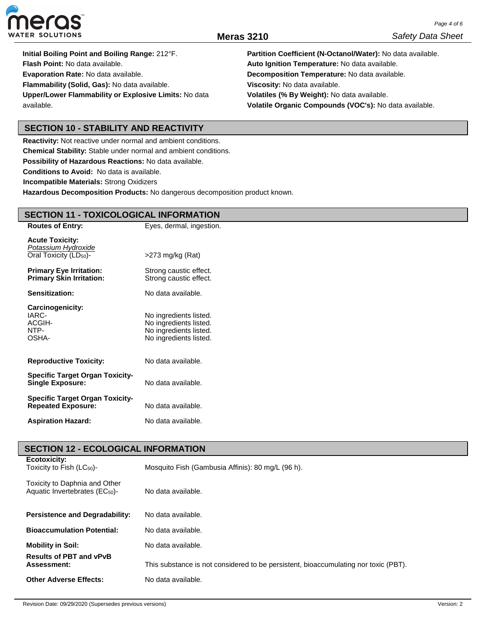

**Initial Boiling Point and Boiling Range:** 212°F. **Flash Point:** No data available. **Evaporation Rate:** No data available. **Flammability (Solid, Gas):** No data available. **Upper/Lower Flammability or Explosive Limits:** No data available.

**Partition Coefficient (N-Octanol/Water):** No data available. **Auto Ignition Temperature:** No data available. **Decomposition Temperature:** No data available. **Viscosity:** No data available. **Volatiles (% By Weight):** No data available. **Volatile Organic Compounds (VOC's):** No data available.

## **SECTION 10 - STABILITY AND REACTIVITY**

**Reactivity:** Not reactive under normal and ambient conditions.

**Chemical Stability:** Stable under normal and ambient conditions.

**Possibility of Hazardous Reactions:** No data available.

**Conditions to Avoid:** No data is available.

**Incompatible Materials:** Strong Oxidizers

**Hazardous Decomposition Products:** No dangerous decomposition product known.

## **SECTION 11 - TOXICOLOGICAL INFORMATION**

| <b>Routes of Entry:</b>                                                             | Eyes, dermal, ingestion.                                                                             |
|-------------------------------------------------------------------------------------|------------------------------------------------------------------------------------------------------|
| <b>Acute Toxicity:</b><br>Potassium Hydroxide<br>Oral Toxicity (LD <sub>50</sub> )- | $>273$ mg/kg (Rat)                                                                                   |
| <b>Primary Eye Irritation:</b><br><b>Primary Skin Irritation:</b>                   | Strong caustic effect.<br>Strong caustic effect.                                                     |
| Sensitization:                                                                      | No data available.                                                                                   |
| Carcinogenicity:<br>IARC-<br>ACGIH-<br>NTP-<br>OSHA-                                | No ingredients listed.<br>No ingredients listed.<br>No ingredients listed.<br>No ingredients listed. |
| <b>Reproductive Toxicity:</b>                                                       | No data available.                                                                                   |
| <b>Specific Target Organ Toxicity-</b><br><b>Single Exposure:</b>                   | No data available.                                                                                   |
| <b>Specific Target Organ Toxicity-</b><br><b>Repeated Exposure:</b>                 | No data available.                                                                                   |
| <b>Aspiration Hazard:</b>                                                           | No data available.                                                                                   |

## **SECTION 12 - ECOLOGICAL INFORMATION Ecotoxicity:**

| Toxicity to Fish $(LC_{50})$ -                                              | Mosquito Fish (Gambusia Affinis): 80 mg/L (96 h).                                   |
|-----------------------------------------------------------------------------|-------------------------------------------------------------------------------------|
| Toxicity to Daphnia and Other<br>Aquatic Invertebrates (EC <sub>50</sub> )- | No data available.                                                                  |
| <b>Persistence and Degradability:</b>                                       | No data available.                                                                  |
| <b>Bioaccumulation Potential:</b>                                           | No data available.                                                                  |
| <b>Mobility in Soil:</b>                                                    | No data available.                                                                  |
| <b>Results of PBT and vPvB</b><br>Assessment:                               | This substance is not considered to be persistent, bioaccumulating nor toxic (PBT). |
| <b>Other Adverse Effects:</b>                                               | No data available.                                                                  |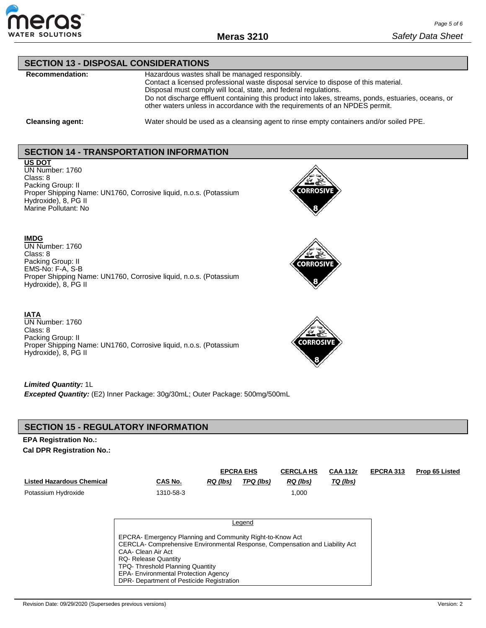

### **SECTION 13 - DISPOSAL CONSIDERATIONS**

**Recommendation:** Hazardous wastes shall be managed responsibly. Contact a licensed professional waste disposal service to dispose of this material. Disposal must comply will local, state, and federal regulations. Do not discharge effluent containing this product into lakes, streams, ponds, estuaries, oceans, or other waters unless in accordance with the requirements of an NPDES permit.

**Cleansing agent:** Water should be used as a cleansing agent to rinse empty containers and/or soiled PPE.

## **SECTION 14 - TRANSPORTATION INFORMATION**

## **US DOT**

UN Number: 1760 Class: 8 Packing Group: II Proper Shipping Name: UN1760, Corrosive liquid, n.o.s. (Potassium Hydroxide), 8, PG II Marine Pollutant: No



# **IMDG**

UN Number: 1760 Class: 8 Packing Group: II EMS-No: F-A, S-B Proper Shipping Name: UN1760, Corrosive liquid, n.o.s. (Potassium Hydroxide), 8, PG II



### **IATA**

UN Number: 1760 Class: 8 Packing Group: II Proper Shipping Name: UN1760, Corrosive liquid, n.o.s. (Potassium Hydroxide), 8, PG II



### *Limited Quantity:* 1L

*Excepted Quantity:* (E2) Inner Package: 30g/30mL; Outer Package: 500mg/500mL

## **SECTION 15 - REGULATORY INFORMATION**

### **EPA Registration No.: Cal DPR Registration No.:**

|                           |                                                                              |                 | <b>EPCRA EHS</b> | <b>CERCLA HS</b> | <b>CAA 112r</b> | EPCRA 313 | <b>Prop 65 Listed</b> |
|---------------------------|------------------------------------------------------------------------------|-----------------|------------------|------------------|-----------------|-----------|-----------------------|
| Listed Hazardous Chemical | CAS No.                                                                      | <b>RQ</b> (lbs) | TPQ (lbs)        | $RQ$ (lbs)       | TQ (lbs)        |           |                       |
| Potassium Hydroxide       | 1310-58-3                                                                    |                 |                  | 1,000            |                 |           |                       |
|                           |                                                                              |                 |                  |                  |                 |           |                       |
|                           |                                                                              |                 | Legend           |                  |                 |           |                       |
|                           |                                                                              |                 |                  |                  |                 |           |                       |
|                           | EPCRA- Emergency Planning and Community Right-to-Know Act                    |                 |                  |                  |                 |           |                       |
|                           | CERCLA- Comprehensive Environmental Response, Compensation and Liability Act |                 |                  |                  |                 |           |                       |
|                           | CAA- Clean Air Act<br><b>RQ- Release Quantity</b>                            |                 |                  |                  |                 |           |                       |
|                           | TPQ-Threshold Planning Quantity                                              |                 |                  |                  |                 |           |                       |
|                           | <b>EPA- Environmental Protection Agency</b>                                  |                 |                  |                  |                 |           |                       |
|                           | DPR- Department of Pesticide Registration                                    |                 |                  |                  |                 |           |                       |